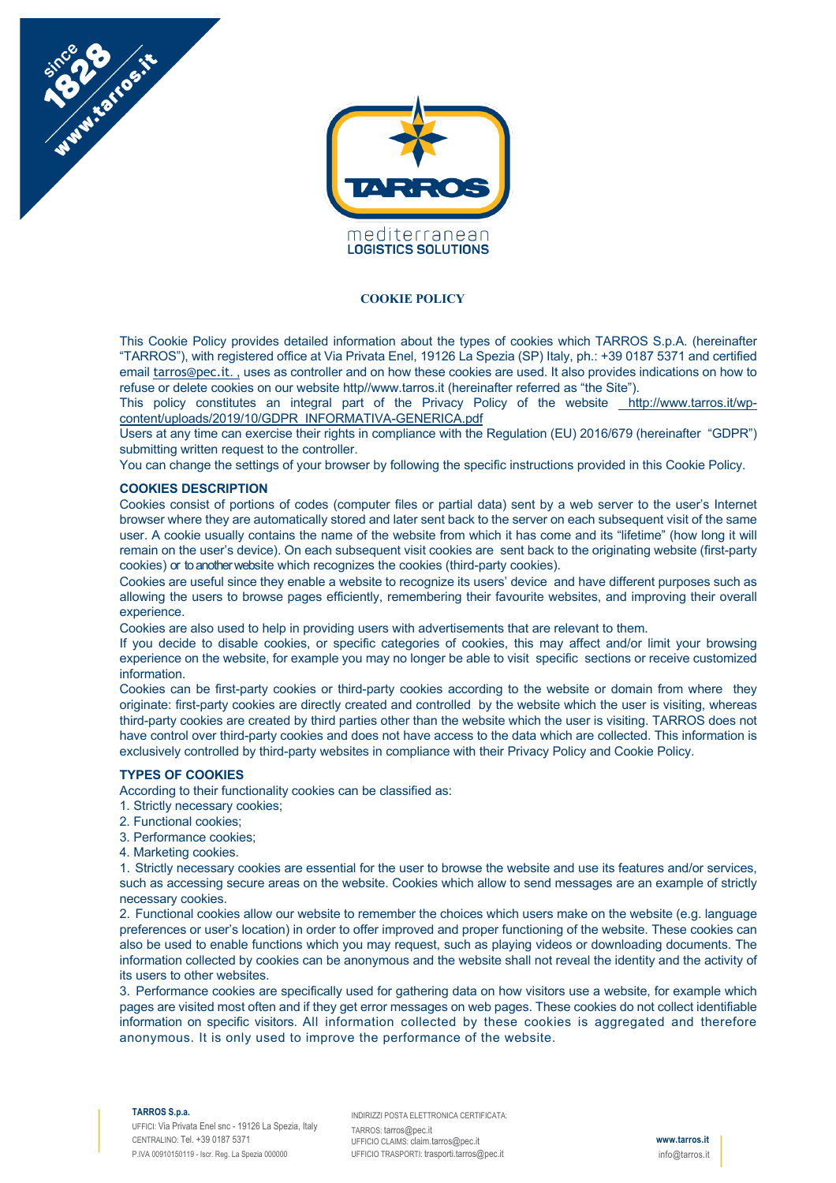

#### **COOKIE POLICY**

This Cookie Policy provides detailed information about the types of cookies which TARROS S.p.A. (hereinafter "TARROS"), with registered office at Via Privata Enel, 19126 La Spezia (SP) Italy, ph.: +39 0187 5371 and certified email *tarros@pec.it.* , uses as controller and on how these cookies are used. It also provides indications on how to refuse or delete cookies on our website http//www.tarros.it (hereinafter referred as "the Site").

This policy constitutes an integral part of the Privacy Policy of the website http://www.tarros.it/wpcontent/uploads/2019/10/GDPR\_INFORMATIVA-GENERICA.pdf

Users at any time can exercise their rights in compliance with the Regulation (EU) 2016/679 (hereinafter "GDPR") submitting written request to the controller.

You can change the settings of your browser by following the specific instructions provided in this Cookie Policy.

#### **COOKIES DESCRIPTION**

Number of the

Cookies consist of portions of codes (computer files or partial data) sent by a web server to the user's Internet browser where they are automatically stored and later sent back to the server on each subsequent visit of the same user. A cookie usually contains the name of the website from which it has come and its "lifetime" (how long it will remain on the user's device). On each subsequent visit cookies are sent back to the originating website (first-party cookies) or to another website which recognizes the cookies (third-party cookies).

Cookies are useful since they enable a website to recognize its users' device and have different purposes such as allowing the users to browse pages efficiently, remembering their favourite websites, and improving their overall experience.

Cookies are also used to help in providing users with advertisements that are relevant to them.

If you decide to disable cookies, or specific categories of cookies, this may affect and/or limit your browsing experience on the website, for example you may no longer be able to visit specific sections or receive customized information.

Cookies can be first-party cookies or third-party cookies according to the website or domain from where they originate: first-party cookies are directly created and controlled by the website which the user is visiting, whereas third-party cookies are created by third parties other than the website which the user is visiting. TARROS does not have control over third-party cookies and does not have access to the data which are collected. This information is exclusively controlled by third-party websites in compliance with their Privacy Policy and Cookie Policy.

#### **TYPES OF COOKIES**

According to their functionality cookies can be classified as:

- 1. Strictly necessary cookies;
- 2. Functional cookies;
- 3. Performance cookies;
- 4. Marketing cookies.

1. Strictly necessary cookies are essential for the user to browse the website and use its features and/or services, such as accessing secure areas on the website. Cookies which allow to send messages are an example of strictly necessary cookies.

2. Functional cookies allow our website to remember the choices which users make on the website (e.g. language preferences or user's location) in order to offer improved and proper functioning of the website. These cookies can also be used to enable functions which you may request, such as playing videos or downloading documents. The information collected by cookies can be anonymous and the website shall not reveal the identity and the activity of its users to other websites.

3. Performance cookies are specifically used for gathering data on how visitors use a website, for example which pages are visited most often and if they get error messages on web pages. These cookies do not collect identifiable information on specific visitors. All information collected by these cookies is aggregated and therefore anonymous. It is only used to improve the performance of the website.

#### **TARROS S.p.a.**

INDIRIZZI POSTA ELETTRONICA CERTIFICATA: TARROS: tarros@pec.it UFFICIO CLAIMS: claim.tarros@pec.it UFFICIO TRASPORTI: trasporti.tarros@pec.it

**www.tarros.it** info@tarros.it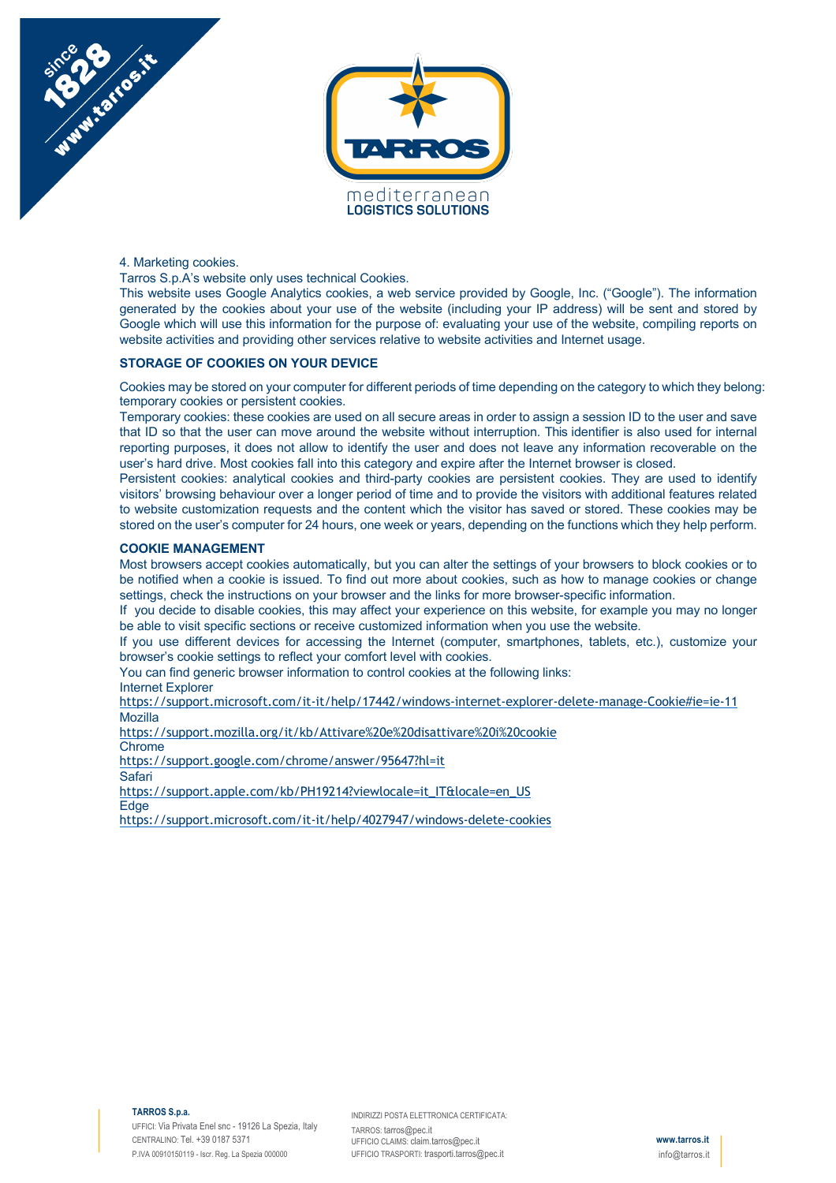



4. Marketing cookies.

Tarros S.p.A's website only uses technical Cookies.

This website uses Google Analytics cookies, a web service provided by Google, Inc. ("Google"). The information generated by the cookies about your use of the website (including your IP address) will be sent and stored by Google which will use this information for the purpose of: evaluating your use of the website, compiling reports on website activities and providing other services relative to website activities and Internet usage.

### **STORAGE OF COOKIES ON YOUR DEVICE**

Cookies may be stored on your computer for different periods of time depending on the category to which they belong: temporary cookies or persistent cookies.

Temporary cookies: these cookies are used on all secure areas in order to assign a session ID to the user and save that ID so that the user can move around the website without interruption. This identifier is also used for internal reporting purposes, it does not allow to identify the user and does not leave any information recoverable on the user's hard drive. Most cookies fall into this category and expire after the Internet browser is closed.

Persistent cookies: analytical cookies and third-party cookies are persistent cookies. They are used to identify visitors' browsing behaviour over a longer period of time and to provide the visitors with additional features related to website customization requests and the content which the visitor has saved or stored. These cookies may be stored on the user's computer for 24 hours, one week or years, depending on the functions which they help perform.

# **COOKIE MANAGEMENT**

Most browsers accept cookies automatically, but you can alter the settings of your browsers to block cookies or to be notified when a cookie is issued. To find out more about cookies, such as how to manage cookies or change settings, check the instructions on your browser and the links for more browser-specific information.

If you decide to disable cookies, this may affect your experience on this website, for example you may no longer be able to visit specific sections or receive customized information when you use the website.

If you use different devices for accessing the Internet (computer, smartphones, tablets, etc.), customize your browser's cookie settings to reflect your comfort level with cookies.

You can find generic browser information to control cookies at the following links:

Internet Explorer

https://support.microsoft.com/it-it/help/17442/windows-internet-explorer-delete-manage-Cookie#ie=ie-11 Mozilla

https://support.mozilla.org/it/kb/Attivare%20e%20disattivare%20i%20cookie

**Chrome** 

https://support.google.com/chrome/answer/95647?hl=it

Safari

https://support.apple.com/kb/PH19214?viewlocale=it\_IT&locale=en\_US **Edge** 

https://support.microsoft.com/it-it/help/4027947/windows-delete-cookies

INDIRIZZI POSTA ELETTRONICA CERTIFICATA: TARROS: tarros@pec.it UFFICIO CLAIMS: claim.tarros@pec.it UFFICIO TRASPORTI: trasporti.tarros@pec.it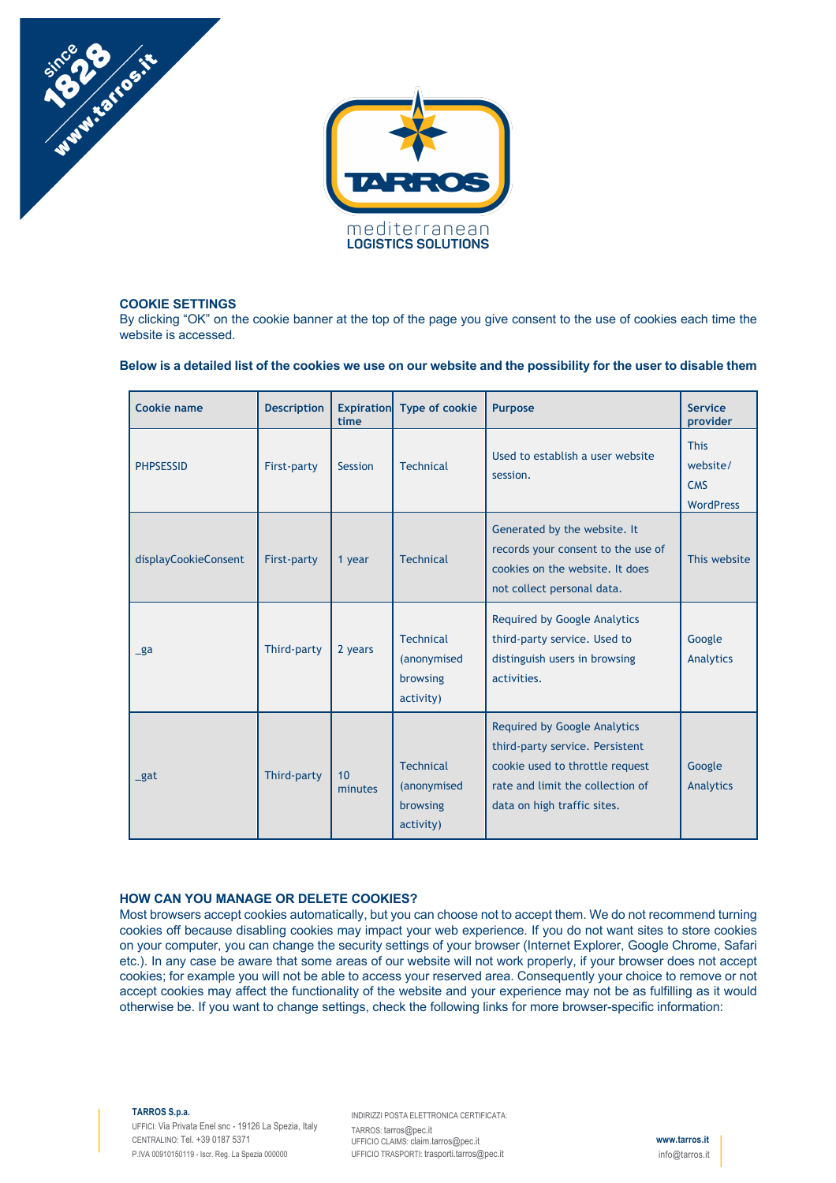



### **COOKIE SETTINGS**

By clicking "OK" on the cookie banner at the top of the page you give consent to the use of cookies each time the website is accessed.

**Below is a detailed list of the cookies we use on our website and the possibility for the user to disable them**

| <b>Cookie name</b>   | <b>Description</b> | <b>Expiration</b><br>time | <b>Type of cookie</b>                                    | <b>Purpose</b>                                                                                                                                                               | <b>Service</b><br>provider                                |
|----------------------|--------------------|---------------------------|----------------------------------------------------------|------------------------------------------------------------------------------------------------------------------------------------------------------------------------------|-----------------------------------------------------------|
| <b>PHPSESSID</b>     | First-party        | Session                   | <b>Technical</b>                                         | Used to establish a user website<br>session.                                                                                                                                 | <b>This</b><br>website/<br><b>CMS</b><br><b>WordPress</b> |
| displayCookieConsent | First-party        | 1 year                    | <b>Technical</b>                                         | Generated by the website. It<br>records your consent to the use of<br>cookies on the website. It does<br>not collect personal data.                                          | This website                                              |
| $\mathsf{g}$ a       | Third-party        | 2 years                   | <b>Technical</b><br>(anonymised<br>browsing<br>activity) | <b>Required by Google Analytics</b><br>third-party service. Used to<br>distinguish users in browsing<br>activities.                                                          | Google<br>Analytics                                       |
| $gat$                | Third-party        | 10<br>minutes             | <b>Technical</b><br>(anonymised<br>browsing<br>activity) | <b>Required by Google Analytics</b><br>third-party service. Persistent<br>cookie used to throttle request<br>rate and limit the collection of<br>data on high traffic sites. | Google<br>Analytics                                       |

# **HOW CAN YOU MANAGE OR DELETE COOKIES?**

Most browsers accept cookies automatically, but you can choose not to accept them. We do not recommend turning cookies off because disabling cookies may impact your web experience. If you do not want sites to store cookies on your computer, you can change the security settings of your browser (Internet Explorer, Google Chrome, Safari etc.). In any case be aware that some areas of our website will not work properly, if your browser does not accept cookies; for example you will not be able to access your reserved area. Consequently your choice to remove or not accept cookies may affect the functionality of the website and your experience may not be as fulfilling as it would otherwise be. If you want to change settings, check the following links for more browser-specific information:

#### **TARROS S.p.a.**

UFFICI: Via Privata Enel snc - 19126 La Spezia, Italy CENTRALINO: Tel. +39 0187 5371 P.IVA 00910150119 - Iscr. Reg. La Spezia 000000

INDIRIZZI POSTA ELETTRONICA CERTIFICATA: TARROS: tarros@pec.it UFFICIO CLAIMS: claim.tarros@pec.it UFFICIO TRASPORTI: trasporti.tarros@pec.it

**www.tarros.it** info@tarros.it